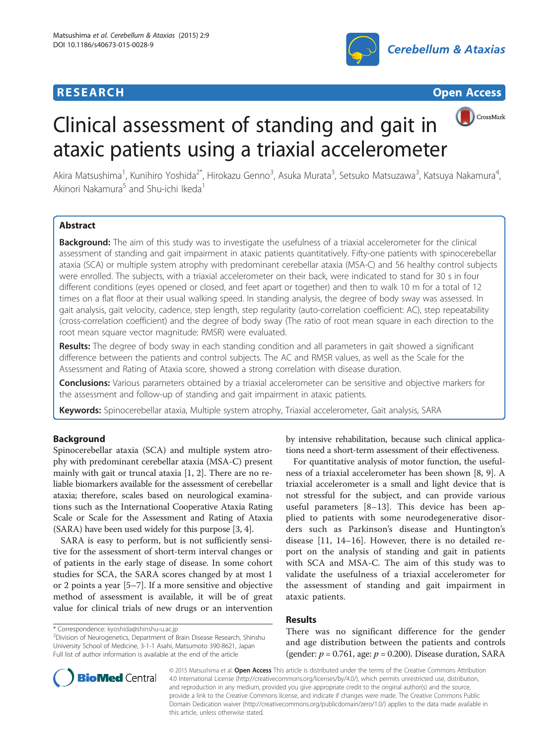# **RESEARCH RESEARCH** *CHECK CHECK CHECK CHECK CHECK CHECK CHECK CHECK CHECK CHECK CHECK CHECK CHECK CHECK CHECK CHECK CHECK CHECK CHECK CHECK CHECK CHECK CHECK CHECK CHECK CHECK CHECK CHECK CHECK CHECK CHECK CHECK CHECK*





# CrossMark Clinical assessment of standing and gait in ataxic patients using a triaxial accelerometer

Akira Matsushima<sup>1</sup>, Kunihiro Yoshida<sup>2\*</sup>, Hirokazu Genno<sup>3</sup>, Asuka Murata<sup>3</sup>, Setsuko Matsuzawa<sup>3</sup>, Katsuya Nakamura<sup>4</sup> , Akinori Nakamura<sup>5</sup> and Shu-ichi Ikeda<sup>1</sup>

# **Abstract**

Background: The aim of this study was to investigate the usefulness of a triaxial accelerometer for the clinical assessment of standing and gait impairment in ataxic patients quantitatively. Fifty-one patients with spinocerebellar ataxia (SCA) or multiple system atrophy with predominant cerebellar ataxia (MSA-C) and 56 healthy control subjects were enrolled. The subjects, with a triaxial accelerometer on their back, were indicated to stand for 30 s in four different conditions (eyes opened or closed, and feet apart or together) and then to walk 10 m for a total of 12 times on a flat floor at their usual walking speed. In standing analysis, the degree of body sway was assessed. In gait analysis, gait velocity, cadence, step length, step regularity (auto-correlation coefficient: AC), step repeatability (cross-correlation coefficient) and the degree of body sway (The ratio of root mean square in each direction to the root mean square vector magnitude: RMSR) were evaluated.

Results: The degree of body sway in each standing condition and all parameters in gait showed a significant difference between the patients and control subjects. The AC and RMSR values, as well as the Scale for the Assessment and Rating of Ataxia score, showed a strong correlation with disease duration.

**Conclusions:** Various parameters obtained by a triaxial accelerometer can be sensitive and objective markers for the assessment and follow-up of standing and gait impairment in ataxic patients.

Keywords: Spinocerebellar ataxia, Multiple system atrophy, Triaxial accelerometer, Gait analysis, SARA

# Background

Spinocerebellar ataxia (SCA) and multiple system atrophy with predominant cerebellar ataxia (MSA-C) present mainly with gait or truncal ataxia [[1](#page-6-0), [2](#page-6-0)]. There are no reliable biomarkers available for the assessment of cerebellar ataxia; therefore, scales based on neurological examinations such as the International Cooperative Ataxia Rating Scale or Scale for the Assessment and Rating of Ataxia (SARA) have been used widely for this purpose [[3, 4](#page-6-0)].

SARA is easy to perform, but is not sufficiently sensitive for the assessment of short-term interval changes or of patients in the early stage of disease. In some cohort studies for SCA, the SARA scores changed by at most 1 or 2 points a year [[5](#page-6-0)–[7](#page-6-0)]. If a more sensitive and objective method of assessment is available, it will be of great value for clinical trials of new drugs or an intervention

by intensive rehabilitation, because such clinical applications need a short-term assessment of their effectiveness.

For quantitative analysis of motor function, the usefulness of a triaxial accelerometer has been shown [[8, 9](#page-6-0)]. A triaxial accelerometer is a small and light device that is not stressful for the subject, and can provide various useful parameters [[8](#page-6-0)–[13\]](#page-6-0). This device has been applied to patients with some neurodegenerative disorders such as Parkinson's disease and Huntington's disease [[11, 14](#page-6-0)–[16](#page-6-0)]. However, there is no detailed report on the analysis of standing and gait in patients with SCA and MSA-C. The aim of this study was to validate the usefulness of a triaxial accelerometer for the assessment of standing and gait impairment in ataxic patients.

# Results

There was no significant difference for the gender and age distribution between the patients and controls (gender:  $p = 0.761$ , age:  $p = 0.200$ ). Disease duration, SARA



© 2015 Matsushima et al. Open Access This article is distributed under the terms of the Creative Commons Attribution 4.0 International License [\(http://creativecommons.org/licenses/by/4.0/\)](http://creativecommons.org/licenses/by/4.0/), which permits unrestricted use, distribution, and reproduction in any medium, provided you give appropriate credit to the original author(s) and the source, provide a link to the Creative Commons license, and indicate if changes were made. The Creative Commons Public Domain Dedication waiver ([http://creativecommons.org/publicdomain/zero/1.0/\)](http://creativecommons.org/publicdomain/zero/1.0/) applies to the data made available in this article, unless otherwise stated.

<sup>\*</sup> Correspondence: [kyoshida@shinshu-u.ac.jp](mailto:kyoshida@shinshu-u.ac.jp) <sup>2</sup>

<sup>&</sup>lt;sup>2</sup>Division of Neurogenetics, Department of Brain Disease Research, Shinshu University School of Medicine, 3-1-1 Asahi, Matsumoto 390-8621, Japan Full list of author information is available at the end of the article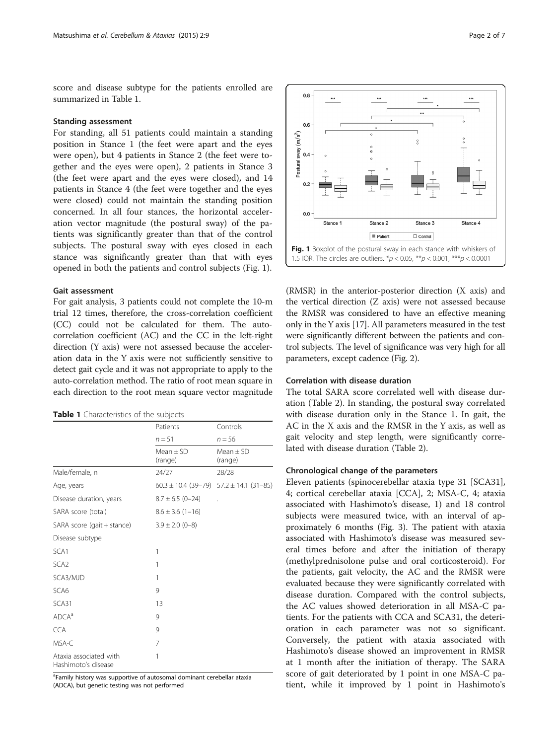<span id="page-1-0"></span>score and disease subtype for the patients enrolled are summarized in Table 1.

# Standing assessment

For standing, all 51 patients could maintain a standing position in Stance 1 (the feet were apart and the eyes were open), but 4 patients in Stance 2 (the feet were together and the eyes were open), 2 patients in Stance 3 (the feet were apart and the eyes were closed), and 14 patients in Stance 4 (the feet were together and the eyes were closed) could not maintain the standing position concerned. In all four stances, the horizontal acceleration vector magnitude (the postural sway) of the patients was significantly greater than that of the control subjects. The postural sway with eyes closed in each stance was significantly greater than that with eyes opened in both the patients and control subjects (Fig. 1).

# Gait assessment

For gait analysis, 3 patients could not complete the 10-m trial 12 times, therefore, the cross-correlation coefficient (CC) could not be calculated for them. The autocorrelation coefficient (AC) and the CC in the left-right direction (Y axis) were not assessed because the acceleration data in the Y axis were not sufficiently sensitive to detect gait cycle and it was not appropriate to apply to the auto-correlation method. The ratio of root mean square in each direction to the root mean square vector magnitude

| Table 1 Characteristics of the subjects |  |  |  |
|-----------------------------------------|--|--|--|
|-----------------------------------------|--|--|--|

|                                               | Patients<br>$n = 51$   | Controls<br>$n = 56$                            |  |
|-----------------------------------------------|------------------------|-------------------------------------------------|--|
|                                               |                        |                                                 |  |
|                                               | $Mean + SD$<br>(range) | Mean $\pm$ SD<br>(range)                        |  |
| Male/female, n                                | 24/27                  | 28/28                                           |  |
| Age, years                                    |                        | $60.3 \pm 10.4$ (39-79) $57.2 \pm 14.1$ (31-85) |  |
| Disease duration, years                       | $8.7 \pm 6.5$ (0-24)   |                                                 |  |
| SARA score (total)                            | $8.6 \pm 3.6$ (1-16)   |                                                 |  |
| SARA score (gait + stance)                    | $3.9 \pm 2.0$ (0-8)    |                                                 |  |
| Disease subtype                               |                        |                                                 |  |
| SCA <sub>1</sub>                              | 1                      |                                                 |  |
| SCA <sub>2</sub>                              | 1                      |                                                 |  |
| SCA3/MJD                                      | 1                      |                                                 |  |
| SCA6                                          | 9                      |                                                 |  |
| SCA31                                         | 13                     |                                                 |  |
| ADCA <sup>a</sup>                             | 9                      |                                                 |  |
| <b>CCA</b>                                    | 9                      |                                                 |  |
| MSA-C                                         | 7                      |                                                 |  |
| Ataxia associated with<br>Hashimoto's disease | 1                      |                                                 |  |

<sup>a</sup>Family history was supportive of autosomal dominant cerebellar ataxia (ADCA), but genetic testing was not performed



(RMSR) in the anterior-posterior direction (X axis) and the vertical direction (Z axis) were not assessed because the RMSR was considered to have an effective meaning only in the Y axis [[17](#page-6-0)]. All parameters measured in the test were significantly different between the patients and control subjects. The level of significance was very high for all parameters, except cadence (Fig. [2\)](#page-2-0).

# Correlation with disease duration

The total SARA score correlated well with disease duration (Table [2\)](#page-2-0). In standing, the postural sway correlated with disease duration only in the Stance 1. In gait, the AC in the X axis and the RMSR in the Y axis, as well as gait velocity and step length, were significantly correlated with disease duration (Table [2\)](#page-2-0).

# Chronological change of the parameters

Eleven patients (spinocerebellar ataxia type 31 [SCA31], 4; cortical cerebellar ataxia [CCA], 2; MSA-C, 4; ataxia associated with Hashimoto's disease, 1) and 18 control subjects were measured twice, with an interval of approximately 6 months (Fig. [3](#page-3-0)). The patient with ataxia associated with Hashimoto's disease was measured several times before and after the initiation of therapy (methylprednisolone pulse and oral corticosteroid). For the patients, gait velocity, the AC and the RMSR were evaluated because they were significantly correlated with disease duration. Compared with the control subjects, the AC values showed deterioration in all MSA-C patients. For the patients with CCA and SCA31, the deterioration in each parameter was not so significant. Conversely, the patient with ataxia associated with Hashimoto's disease showed an improvement in RMSR at 1 month after the initiation of therapy. The SARA score of gait deteriorated by 1 point in one MSA-C patient, while it improved by 1 point in Hashimoto's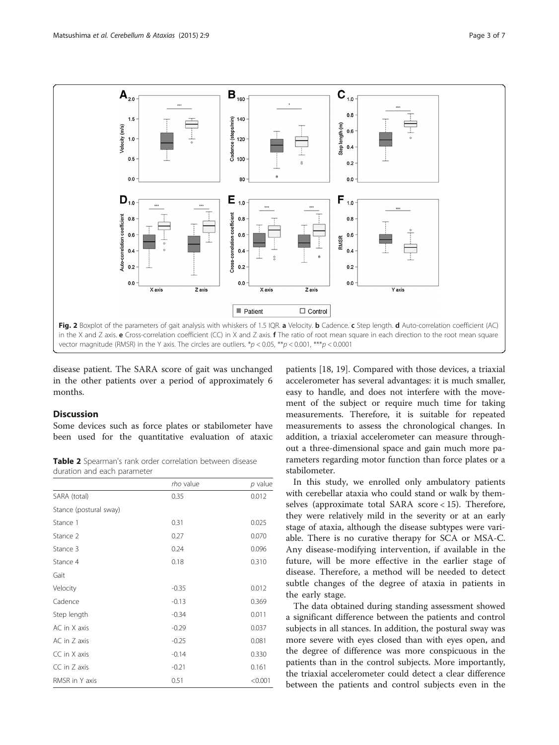<span id="page-2-0"></span>

disease patient. The SARA score of gait was unchanged in the other patients over a period of approximately 6 months.

# **Discussion**

Some devices such as force plates or stabilometer have been used for the quantitative evaluation of ataxic

Table 2 Spearman's rank order correlation between disease duration and each parameter

|                        | rho value | p value |
|------------------------|-----------|---------|
| SARA (total)           | 0.35      | 0.012   |
| Stance (postural sway) |           |         |
| Stance 1               | 0.31      | 0.025   |
| Stance 2               | 0.27      | 0.070   |
| Stance 3               | 0.24      | 0.096   |
| Stance 4               | 0.18      | 0.310   |
| Gait                   |           |         |
| Velocity               | $-0.35$   | 0.012   |
| Cadence                | $-0.13$   | 0.369   |
| Step length            | $-0.34$   | 0.011   |
| AC in X axis           | $-0.29$   | 0.037   |
| AC in Z axis           | $-0.25$   | 0.081   |
| CC in X axis           | $-0.14$   | 0.330   |
| CC in Z axis           | $-0.21$   | 0.161   |
| RMSR in Y axis         | 0.51      | < 0.001 |

patients [\[18, 19\]](#page-6-0). Compared with those devices, a triaxial accelerometer has several advantages: it is much smaller, easy to handle, and does not interfere with the movement of the subject or require much time for taking measurements. Therefore, it is suitable for repeated measurements to assess the chronological changes. In addition, a triaxial accelerometer can measure throughout a three-dimensional space and gain much more parameters regarding motor function than force plates or a stabilometer.

In this study, we enrolled only ambulatory patients with cerebellar ataxia who could stand or walk by themselves (approximate total SARA score < 15). Therefore, they were relatively mild in the severity or at an early stage of ataxia, although the disease subtypes were variable. There is no curative therapy for SCA or MSA-C. Any disease-modifying intervention, if available in the future, will be more effective in the earlier stage of disease. Therefore, a method will be needed to detect subtle changes of the degree of ataxia in patients in the early stage.

The data obtained during standing assessment showed a significant difference between the patients and control subjects in all stances. In addition, the postural sway was more severe with eyes closed than with eyes open, and the degree of difference was more conspicuous in the patients than in the control subjects. More importantly, the triaxial accelerometer could detect a clear difference between the patients and control subjects even in the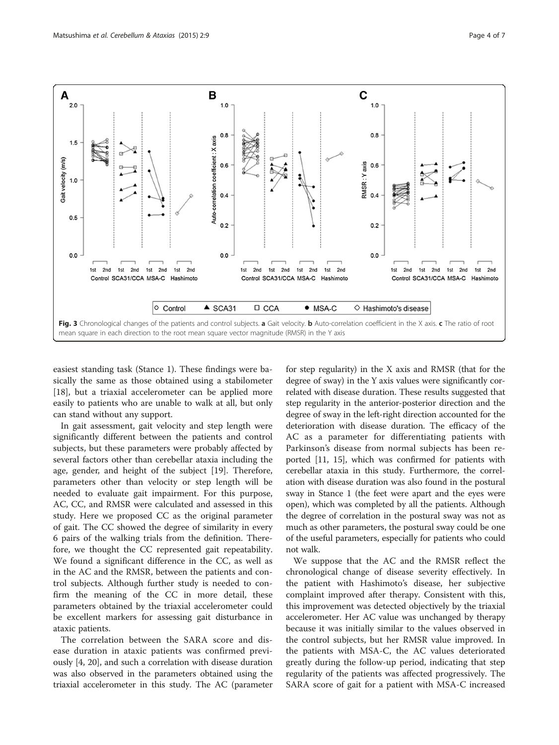<span id="page-3-0"></span>

easiest standing task (Stance 1). These findings were basically the same as those obtained using a stabilometer [[18\]](#page-6-0), but a triaxial accelerometer can be applied more easily to patients who are unable to walk at all, but only can stand without any support.

In gait assessment, gait velocity and step length were significantly different between the patients and control subjects, but these parameters were probably affected by several factors other than cerebellar ataxia including the age, gender, and height of the subject [\[19\]](#page-6-0). Therefore, parameters other than velocity or step length will be needed to evaluate gait impairment. For this purpose, AC, CC, and RMSR were calculated and assessed in this study. Here we proposed CC as the original parameter of gait. The CC showed the degree of similarity in every 6 pairs of the walking trials from the definition. Therefore, we thought the CC represented gait repeatability. We found a significant difference in the CC, as well as in the AC and the RMSR, between the patients and control subjects. Although further study is needed to confirm the meaning of the CC in more detail, these parameters obtained by the triaxial accelerometer could be excellent markers for assessing gait disturbance in ataxic patients.

The correlation between the SARA score and disease duration in ataxic patients was confirmed previously [[4](#page-6-0), [20](#page-6-0)], and such a correlation with disease duration was also observed in the parameters obtained using the triaxial accelerometer in this study. The AC (parameter

for step regularity) in the X axis and RMSR (that for the degree of sway) in the Y axis values were significantly correlated with disease duration. These results suggested that step regularity in the anterior-posterior direction and the degree of sway in the left-right direction accounted for the deterioration with disease duration. The efficacy of the AC as a parameter for differentiating patients with Parkinson's disease from normal subjects has been reported [[11](#page-6-0), [15\]](#page-6-0), which was confirmed for patients with cerebellar ataxia in this study. Furthermore, the correlation with disease duration was also found in the postural sway in Stance 1 (the feet were apart and the eyes were open), which was completed by all the patients. Although the degree of correlation in the postural sway was not as much as other parameters, the postural sway could be one of the useful parameters, especially for patients who could not walk.

We suppose that the AC and the RMSR reflect the chronological change of disease severity effectively. In the patient with Hashimoto's disease, her subjective complaint improved after therapy. Consistent with this, this improvement was detected objectively by the triaxial accelerometer. Her AC value was unchanged by therapy because it was initially similar to the values observed in the control subjects, but her RMSR value improved. In the patients with MSA-C, the AC values deteriorated greatly during the follow-up period, indicating that step regularity of the patients was affected progressively. The SARA score of gait for a patient with MSA-C increased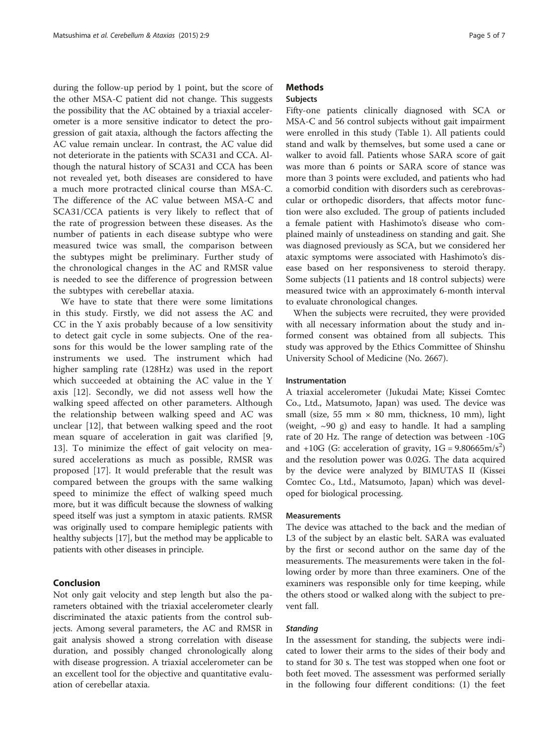during the follow-up period by 1 point, but the score of the other MSA-C patient did not change. This suggests the possibility that the AC obtained by a triaxial accelerometer is a more sensitive indicator to detect the progression of gait ataxia, although the factors affecting the AC value remain unclear. In contrast, the AC value did not deteriorate in the patients with SCA31 and CCA. Although the natural history of SCA31 and CCA has been not revealed yet, both diseases are considered to have a much more protracted clinical course than MSA-C. The difference of the AC value between MSA-C and SCA31/CCA patients is very likely to reflect that of the rate of progression between these diseases. As the number of patients in each disease subtype who were measured twice was small, the comparison between the subtypes might be preliminary. Further study of the chronological changes in the AC and RMSR value is needed to see the difference of progression between the subtypes with cerebellar ataxia.

We have to state that there were some limitations in this study. Firstly, we did not assess the AC and CC in the Y axis probably because of a low sensitivity to detect gait cycle in some subjects. One of the reasons for this would be the lower sampling rate of the instruments we used. The instrument which had higher sampling rate (128Hz) was used in the report which succeeded at obtaining the AC value in the Y axis [\[12](#page-6-0)]. Secondly, we did not assess well how the walking speed affected on other parameters. Although the relationship between walking speed and AC was unclear [[12\]](#page-6-0), that between walking speed and the root mean square of acceleration in gait was clarified [\[9](#page-6-0), [13\]](#page-6-0). To minimize the effect of gait velocity on measured accelerations as much as possible, RMSR was proposed [[17\]](#page-6-0). It would preferable that the result was compared between the groups with the same walking speed to minimize the effect of walking speed much more, but it was difficult because the slowness of walking speed itself was just a symptom in ataxic patients. RMSR was originally used to compare hemiplegic patients with healthy subjects [\[17\]](#page-6-0), but the method may be applicable to patients with other diseases in principle.

# Conclusion

Not only gait velocity and step length but also the parameters obtained with the triaxial accelerometer clearly discriminated the ataxic patients from the control subjects. Among several parameters, the AC and RMSR in gait analysis showed a strong correlation with disease duration, and possibly changed chronologically along with disease progression. A triaxial accelerometer can be an excellent tool for the objective and quantitative evaluation of cerebellar ataxia.

# **Methods**

# Subjects

Fifty-one patients clinically diagnosed with SCA or MSA-C and 56 control subjects without gait impairment were enrolled in this study (Table [1](#page-1-0)). All patients could stand and walk by themselves, but some used a cane or walker to avoid fall. Patients whose SARA score of gait was more than 6 points or SARA score of stance was more than 3 points were excluded, and patients who had a comorbid condition with disorders such as cerebrovascular or orthopedic disorders, that affects motor function were also excluded. The group of patients included a female patient with Hashimoto's disease who complained mainly of unsteadiness on standing and gait. She was diagnosed previously as SCA, but we considered her ataxic symptoms were associated with Hashimoto's disease based on her responsiveness to steroid therapy. Some subjects (11 patients and 18 control subjects) were measured twice with an approximately 6-month interval to evaluate chronological changes.

When the subjects were recruited, they were provided with all necessary information about the study and informed consent was obtained from all subjects. This study was approved by the Ethics Committee of Shinshu University School of Medicine (No. 2667).

# Instrumentation

A triaxial accelerometer (Jukudai Mate; Kissei Comtec Co., Ltd., Matsumoto, Japan) was used. The device was small (size, 55 mm  $\times$  80 mm, thickness, 10 mm), light (weight,  $\sim$ 90 g) and easy to handle. It had a sampling rate of 20 Hz. The range of detection was between -10G and  $+10G$  (G: acceleration of gravity,  $1G = 9.80665 \text{m/s}^2$ ) and the resolution power was 0.02G. The data acquired by the device were analyzed by BIMUTAS II (Kissei Comtec Co., Ltd., Matsumoto, Japan) which was developed for biological processing.

# **Measurements**

The device was attached to the back and the median of L3 of the subject by an elastic belt. SARA was evaluated by the first or second author on the same day of the measurements. The measurements were taken in the following order by more than three examiners. One of the examiners was responsible only for time keeping, while the others stood or walked along with the subject to prevent fall.

## **Standing**

In the assessment for standing, the subjects were indicated to lower their arms to the sides of their body and to stand for 30 s. The test was stopped when one foot or both feet moved. The assessment was performed serially in the following four different conditions: (1) the feet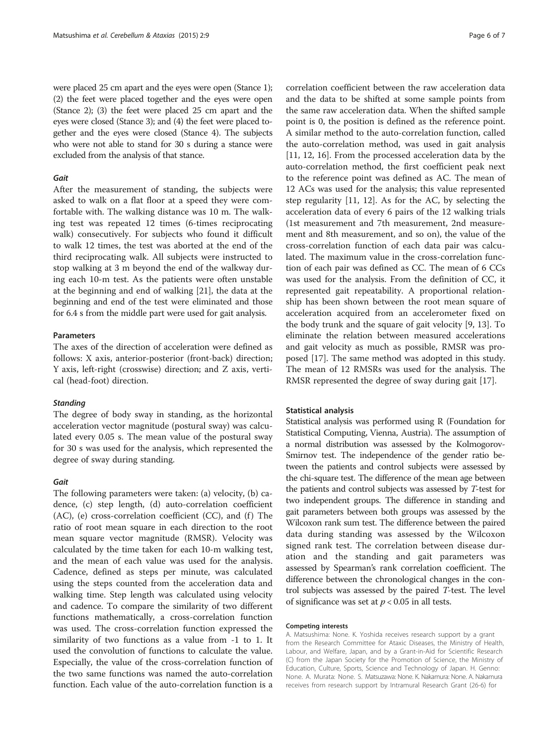were placed 25 cm apart and the eyes were open (Stance 1); (2) the feet were placed together and the eyes were open (Stance 2); (3) the feet were placed 25 cm apart and the eyes were closed (Stance 3); and (4) the feet were placed together and the eyes were closed (Stance 4). The subjects who were not able to stand for 30 s during a stance were excluded from the analysis of that stance.

# Gait

After the measurement of standing, the subjects were asked to walk on a flat floor at a speed they were comfortable with. The walking distance was 10 m. The walking test was repeated 12 times (6-times reciprocating walk) consecutively. For subjects who found it difficult to walk 12 times, the test was aborted at the end of the third reciprocating walk. All subjects were instructed to stop walking at 3 m beyond the end of the walkway during each 10-m test. As the patients were often unstable at the beginning and end of walking [\[21\]](#page-6-0), the data at the beginning and end of the test were eliminated and those for 6.4 s from the middle part were used for gait analysis.

# Parameters

The axes of the direction of acceleration were defined as follows: X axis, anterior-posterior (front-back) direction; Y axis, left-right (crosswise) direction; and Z axis, vertical (head-foot) direction.

## **Standing**

The degree of body sway in standing, as the horizontal acceleration vector magnitude (postural sway) was calculated every 0.05 s. The mean value of the postural sway for 30 s was used for the analysis, which represented the degree of sway during standing.

# Gait

The following parameters were taken: (a) velocity, (b) cadence, (c) step length, (d) auto-correlation coefficient  $(AC)$ ,  $(e)$  cross-correlation coefficient  $(CC)$ , and  $(f)$  The ratio of root mean square in each direction to the root mean square vector magnitude (RMSR). Velocity was calculated by the time taken for each 10-m walking test, and the mean of each value was used for the analysis. Cadence, defined as steps per minute, was calculated using the steps counted from the acceleration data and walking time. Step length was calculated using velocity and cadence. To compare the similarity of two different functions mathematically, a cross-correlation function was used. The cross-correlation function expressed the similarity of two functions as a value from -1 to 1. It used the convolution of functions to calculate the value. Especially, the value of the cross-correlation function of the two same functions was named the auto-correlation function. Each value of the auto-correlation function is a

correlation coefficient between the raw acceleration data and the data to be shifted at some sample points from the same raw acceleration data. When the shifted sample point is 0, the position is defined as the reference point. A similar method to the auto-correlation function, called the auto-correlation method, was used in gait analysis [[11, 12, 16\]](#page-6-0). From the processed acceleration data by the auto-correlation method, the first coefficient peak next to the reference point was defined as AC. The mean of 12 ACs was used for the analysis; this value represented step regularity [\[11, 12\]](#page-6-0). As for the AC, by selecting the acceleration data of every 6 pairs of the 12 walking trials (1st measurement and 7th measurement, 2nd measurement and 8th measurement, and so on), the value of the cross-correlation function of each data pair was calculated. The maximum value in the cross-correlation function of each pair was defined as CC. The mean of 6 CCs was used for the analysis. From the definition of CC, it represented gait repeatability. A proportional relationship has been shown between the root mean square of acceleration acquired from an accelerometer fixed on the body trunk and the square of gait velocity [[9, 13\]](#page-6-0). To eliminate the relation between measured accelerations and gait velocity as much as possible, RMSR was proposed [[17\]](#page-6-0). The same method was adopted in this study. The mean of 12 RMSRs was used for the analysis. The RMSR represented the degree of sway during gait [\[17](#page-6-0)].

# Statistical analysis

Statistical analysis was performed using R (Foundation for Statistical Computing, Vienna, Austria). The assumption of a normal distribution was assessed by the Kolmogorov-Smirnov test. The independence of the gender ratio between the patients and control subjects were assessed by the chi-square test. The difference of the mean age between the patients and control subjects was assessed by T-test for two independent groups. The difference in standing and gait parameters between both groups was assessed by the Wilcoxon rank sum test. The difference between the paired data during standing was assessed by the Wilcoxon signed rank test. The correlation between disease duration and the standing and gait parameters was assessed by Spearman's rank correlation coefficient. The difference between the chronological changes in the control subjects was assessed by the paired T-test. The level of significance was set at  $p < 0.05$  in all tests.

#### Competing interests

A. Matsushima: None. K. Yoshida receives research support by a grant from the Research Committee for Ataxic Diseases, the Ministry of Health, Labour, and Welfare, Japan, and by a Grant-in-Aid for Scientific Research (C) from the Japan Society for the Promotion of Science, the Ministry of Education, Culture, Sports, Science and Technology of Japan. H. Genno: None. A. Murata: None. S. Matsuzawa: None. K. Nakamura: None. A. Nakamura receives from research support by Intramural Research Grant (26-6) for